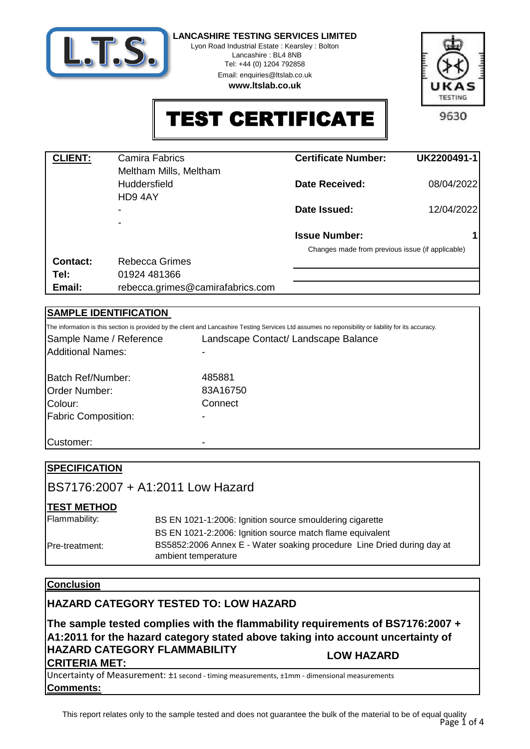

Lyon Road Industrial Estate : Kearsley : Bolton Lancashire : BL4 8NB

> Tel: +44 (0) 1204 792858 Email: enquiries@ltslab.co.uk

**www.ltslab.co.uk**



TEST CERTIFICATE

| <b>CLIENT:</b> | <b>Camira Fabrics</b><br>Meltham Mills, Meltham | <b>Certificate Number:</b>                       | UK2200491-1 |
|----------------|-------------------------------------------------|--------------------------------------------------|-------------|
|                | <b>Huddersfield</b><br>HD94AY                   | <b>Date Received:</b>                            | 08/04/2022  |
|                | $\overline{\phantom{0}}$                        | Date Issued:                                     | 12/04/2022  |
|                |                                                 | <b>Issue Number:</b>                             | 1           |
|                |                                                 | Changes made from previous issue (if applicable) |             |
| Contact:       | Rebecca Grimes                                  |                                                  |             |
| Tel:           | 01924 481366                                    |                                                  |             |
| Email:         | rebecca.grimes@camirafabrics.com                |                                                  |             |

## **SAMPLE IDENTIFICATION**

|                            | The information is this section is provided by the client and Lancashire Testing Services Ltd assumes no reponsibility or liability for its accuracy. |
|----------------------------|-------------------------------------------------------------------------------------------------------------------------------------------------------|
| Sample Name / Reference    | Landscape Contact/ Landscape Balance                                                                                                                  |
| <b>Additional Names:</b>   |                                                                                                                                                       |
| Batch Ref/Number:          | 485881                                                                                                                                                |
| <b>Order Number:</b>       | 83A16750                                                                                                                                              |
| Colour:                    | Connect                                                                                                                                               |
| <b>Fabric Composition:</b> |                                                                                                                                                       |
|                            |                                                                                                                                                       |
| Customer:                  |                                                                                                                                                       |

| <b>SPECIFICATION</b> |                                                                                               |
|----------------------|-----------------------------------------------------------------------------------------------|
|                      | IBS7176:2007 + A1:2011 Low Hazard                                                             |
| <b>TEST METHOD</b>   |                                                                                               |
| Flammability:        | BS EN 1021-1:2006: Ignition source smouldering cigarette                                      |
|                      | BS EN 1021-2:2006: Ignition source match flame equivalent                                     |
| Pre-treatment:       | BS5852:2006 Annex E - Water soaking procedure Line Dried during day at<br>ambient temperature |

## **Conclusion**

# **HAZARD CATEGORY TESTED TO: LOW HAZARD**

**The sample tested complies with the flammability requirements of BS7176:2007 + A1:2011 for the hazard category stated above taking into account uncertainty of HAZARD CATEGORY FLAMMABILITY CRITERIA MET: LOW HAZARD**

**Comments:** Uncertainty of Measurement: ±1 second - timing measurements, ±1mm - dimensional measurements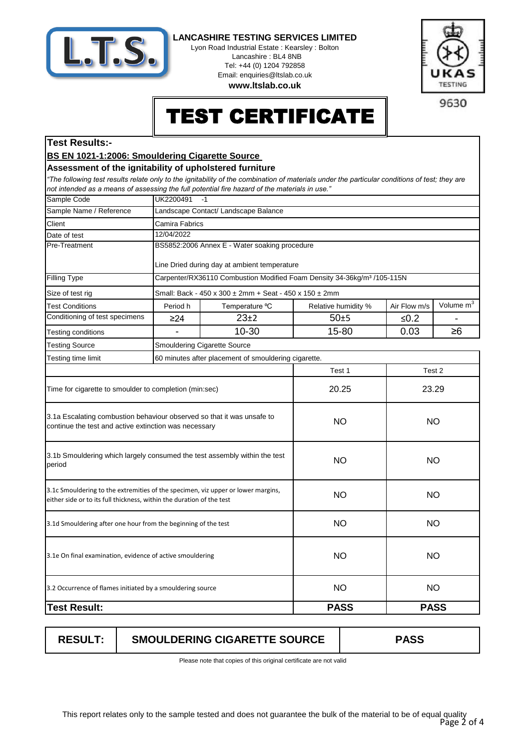

Lyon Road Industrial Estate : Kearsley : Bolton Lancashire : BL4 8NB Tel: +44 (0) 1204 792858 Email: enquiries@ltslab.co.uk

**www.ltslab.co.uk**



9630

# TEST CERTIFICATE

### **Test Results:-**

### **BS EN 1021-1:2006: Smouldering Cigarette Source**

#### **Assessment of the ignitability of upholstered furniture**

*"The following test results relate only to the ignitability of the combination of materials under the particular conditions of test; they are not intended as a means of assessing the full potential fire hazard of the materials in use."*

| Sample Code                                                                                                                                               | UK2200491<br>$-1$            |                                                                                     |                                     |                  |                       |  |
|-----------------------------------------------------------------------------------------------------------------------------------------------------------|------------------------------|-------------------------------------------------------------------------------------|-------------------------------------|------------------|-----------------------|--|
| Sample Name / Reference                                                                                                                                   |                              | Landscape Contact/ Landscape Balance                                                |                                     |                  |                       |  |
| Client                                                                                                                                                    | Camira Fabrics               |                                                                                     |                                     |                  |                       |  |
| Date of test                                                                                                                                              | 12/04/2022                   |                                                                                     |                                     |                  |                       |  |
| Pre-Treatment                                                                                                                                             |                              | BS5852:2006 Annex E - Water soaking procedure                                       |                                     |                  |                       |  |
|                                                                                                                                                           |                              | Line Dried during day at ambient temperature                                        |                                     |                  |                       |  |
| <b>Filling Type</b>                                                                                                                                       |                              | Carpenter/RX36110 Combustion Modified Foam Density 34-36kg/m <sup>3</sup> /105-115N |                                     |                  |                       |  |
| Size of test rig                                                                                                                                          |                              | Small: Back - 450 x 300 ± 2mm + Seat - 450 x 150 ± 2mm                              |                                     |                  |                       |  |
| <b>Test Conditions</b>                                                                                                                                    | Period h                     | Temperature °C                                                                      | Air Flow m/s<br>Relative humidity % |                  | Volume m <sup>3</sup> |  |
| Conditioning of test specimens                                                                                                                            | $\geq$ 24                    | $23+2$                                                                              | $50+5$                              | $≤0.2$           |                       |  |
| Testing conditions                                                                                                                                        |                              | 10-30                                                                               | 15-80                               | 0.03<br>$\geq 6$ |                       |  |
| <b>Testing Source</b>                                                                                                                                     | Smouldering Cigarette Source |                                                                                     |                                     |                  |                       |  |
| Testing time limit                                                                                                                                        |                              | 60 minutes after placement of smouldering cigarette.                                |                                     |                  |                       |  |
|                                                                                                                                                           |                              |                                                                                     | Test 1                              | Test 2           |                       |  |
| Time for cigarette to smoulder to completion (min:sec)                                                                                                    |                              |                                                                                     | 20.25                               |                  | 23.29                 |  |
| 3.1a Escalating combustion behaviour observed so that it was unsafe to<br>continue the test and active extinction was necessary                           |                              |                                                                                     | <b>NO</b>                           | <b>NO</b>        |                       |  |
| 3.1b Smouldering which largely consumed the test assembly within the test<br>period                                                                       |                              |                                                                                     | <b>NO</b>                           | <b>NO</b>        |                       |  |
| 3.1c Smouldering to the extremities of the specimen, viz upper or lower margins,<br>either side or to its full thickness, within the duration of the test |                              |                                                                                     | <b>NO</b>                           | <b>NO</b>        |                       |  |
| 3.1d Smouldering after one hour from the beginning of the test                                                                                            |                              |                                                                                     | <b>NO</b>                           | <b>NO</b>        |                       |  |
| 3.1e On final examination, evidence of active smouldering                                                                                                 |                              |                                                                                     | <b>NO</b>                           | <b>NO</b>        |                       |  |
| 3.2 Occurrence of flames initiated by a smouldering source                                                                                                |                              |                                                                                     | <b>NO</b>                           | <b>NO</b>        |                       |  |
| <b>Test Result:</b>                                                                                                                                       |                              |                                                                                     | <b>PASS</b><br><b>PASS</b>          |                  |                       |  |
|                                                                                                                                                           |                              |                                                                                     |                                     |                  |                       |  |

| <b>RESULT:</b> | <b>SMOULDERING CIGARETTE SOURCE</b> | <b>PASS</b> |
|----------------|-------------------------------------|-------------|
|----------------|-------------------------------------|-------------|

Please note that copies of this original certificate are not valid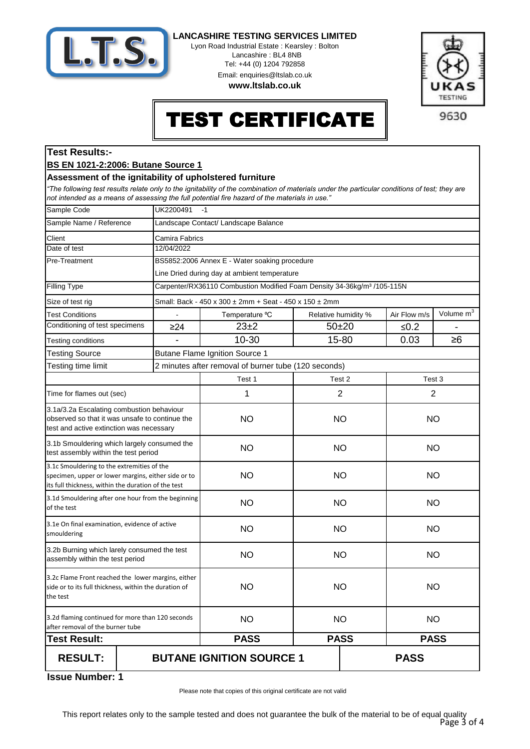

Lyon Road Industrial Estate : Kearsley : Bolton Lancashire : BL4 8NB Tel: +44 (0) 1204 792858 Email: enquiries@ltslab.co.uk

**www.ltslab.co.uk**



# TEST CERTIFICATE

### **Test Results:-**

#### **BS EN 1021-2:2006: Butane Source 1**

#### **Assessment of the ignitability of upholstered furniture**

*"The following test results relate only to the ignitability of the combination of materials under the particular conditions of test; they are not intended as a means of assessing the full potential fire hazard of the materials in use."*

| Sample Code                                                                                                                                              | UK2200491<br>$-1$                              |                                                                                     |                     |           |                |                       |
|----------------------------------------------------------------------------------------------------------------------------------------------------------|------------------------------------------------|-------------------------------------------------------------------------------------|---------------------|-----------|----------------|-----------------------|
| Sample Name / Reference                                                                                                                                  |                                                | Landscape Contact/ Landscape Balance                                                |                     |           |                |                       |
| Client                                                                                                                                                   |                                                | Camira Fabrics                                                                      |                     |           |                |                       |
| Date of test                                                                                                                                             | 12/04/2022                                     |                                                                                     |                     |           |                |                       |
| Pre-Treatment                                                                                                                                            |                                                | BS5852:2006 Annex E - Water soaking procedure                                       |                     |           |                |                       |
|                                                                                                                                                          |                                                | Line Dried during day at ambient temperature                                        |                     |           |                |                       |
| Filling Type                                                                                                                                             |                                                | Carpenter/RX36110 Combustion Modified Foam Density 34-36kg/m <sup>3</sup> /105-115N |                     |           |                |                       |
| Size of test rig                                                                                                                                         |                                                | Small: Back - 450 x 300 ± 2mm + Seat - 450 x 150 ± 2mm                              |                     |           |                |                       |
| <b>Test Conditions</b>                                                                                                                                   | $\blacksquare$                                 | Temperature °C                                                                      | Relative humidity % |           | Air Flow m/s   | Volume m <sup>3</sup> |
| Conditioning of test specimens                                                                                                                           | $\geq$ 24                                      | $23 + 2$                                                                            | $50 + 20$           |           | ≤ $0.2$        |                       |
| Testing conditions                                                                                                                                       |                                                | 10-30                                                                               | 15-80               |           | 0.03           | $\geq 6$              |
| <b>Testing Source</b>                                                                                                                                    |                                                | Butane Flame Ignition Source 1                                                      |                     |           |                |                       |
| Testing time limit                                                                                                                                       |                                                | 2 minutes after removal of burner tube (120 seconds)                                |                     |           |                |                       |
|                                                                                                                                                          |                                                | Test 1                                                                              | Test 2              |           | Test 3         |                       |
| Time for flames out (sec)                                                                                                                                |                                                | 1                                                                                   | $\overline{2}$      |           | $\overline{2}$ |                       |
| 3.1a/3.2a Escalating combustion behaviour<br>observed so that it was unsafe to continue the<br>test and active extinction was necessary                  |                                                | <b>NO</b>                                                                           | <b>NO</b>           |           | <b>NO</b>      |                       |
| 3.1b Smouldering which largely consumed the<br>test assembly within the test period                                                                      |                                                | <b>NO</b>                                                                           | <b>NO</b>           |           | <b>NO</b>      |                       |
| 3.1c Smouldering to the extremities of the<br>specimen, upper or lower margins, either side or to<br>its full thickness, within the duration of the test |                                                | <b>NO</b>                                                                           | <b>NO</b>           | <b>NO</b> |                |                       |
| 3.1d Smouldering after one hour from the beginning<br>of the test                                                                                        |                                                | <b>NO</b>                                                                           | <b>NO</b>           | <b>NO</b> |                |                       |
| 3.1e On final examination, evidence of active<br>smouldering                                                                                             |                                                | <b>NO</b>                                                                           | <b>NO</b>           | <b>NO</b> |                |                       |
| 3.2b Burning which larely consumed the test<br>assembly within the test period                                                                           |                                                | <b>NO</b>                                                                           | <b>NO</b>           | <b>NO</b> |                |                       |
| 3.2c Flame Front reached the lower margins, either<br>side or to its full thickness, within the duration of<br>the test                                  |                                                | <b>NO</b>                                                                           | <b>NO</b>           |           | <b>NO</b>      |                       |
| 3.2d flaming continued for more than 120 seconds<br>after removal of the burner tube                                                                     |                                                | <b>NO</b>                                                                           | <b>NO</b>           |           | <b>NO</b>      |                       |
| <b>Test Result:</b>                                                                                                                                      |                                                | <b>PASS</b>                                                                         | <b>PASS</b>         |           | <b>PASS</b>    |                       |
| <b>RESULT:</b>                                                                                                                                           | <b>BUTANE IGNITION SOURCE 1</b><br><b>PASS</b> |                                                                                     |                     |           |                |                       |

**1 Issue Number:**

Please note that copies of this original certificate are not valid